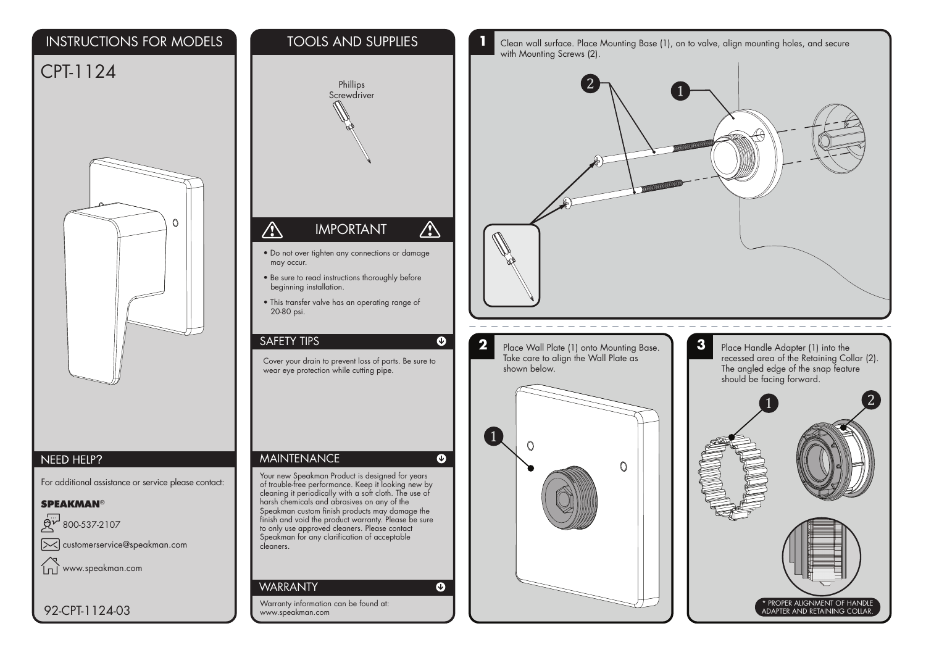## INSTRUCTIONS FOR MODELS

## CPT-1124



## NEED HELP?

For additional assistance or service please contact:

**SPEAKMAN®** 

لىتى<br>ما 800-537-2107 customerservice@speakman.com

 $\ln\tilde{ }$ www.speakman.com

92-CPT-1124-03



TOOLS AND SUPPLIES

**1** Clean wall surface. Place Mounting Base (1), on to valve, align mounting holes, and secure with Mounting Screws (2).